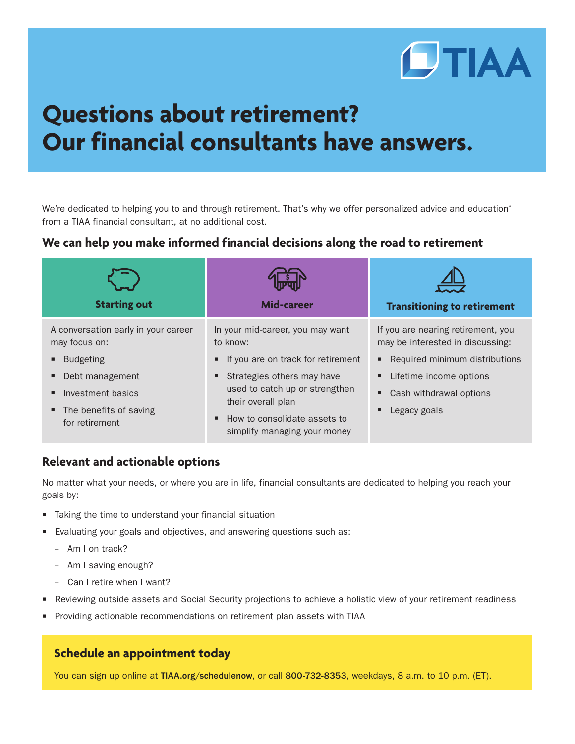

# **Questions about retirement? Our financial consultants have answers.**

We're dedicated to helping you to and through retirement. That's why we offer personalized advice and education\* from a TIAA financial consultant, at no additional cost.

## **We can help you make informed financial decisions along the road to retirement**

| <b>Starting out</b>                                  | <b>Mid-career</b>                                                                       | <b>Transitioning to retirement</b>                                     |
|------------------------------------------------------|-----------------------------------------------------------------------------------------|------------------------------------------------------------------------|
| A conversation early in your career<br>may focus on: | In your mid-career, you may want<br>to know:                                            | If you are nearing retirement, you<br>may be interested in discussing: |
| <b>Budgeting</b>                                     | If you are on track for retirement<br>$\blacksquare$                                    | Required minimum distributions                                         |
| Debt management                                      | Strategies others may have<br>п                                                         | Lifetime income options<br>٠                                           |
| Investment basics                                    | used to catch up or strengthen                                                          | Cash withdrawal options<br>п                                           |
| The benefits of saving<br>٠<br>for retirement        | their overall plan<br>How to consolidate assets to<br>٠<br>simplify managing your money | Legacy goals<br>п                                                      |

## **Relevant and actionable options**

No matter what your needs, or where you are in life, financial consultants are dedicated to helping you reach your goals by:

- Taking the time to understand your financial situation
- Evaluating your goals and objectives, and answering questions such as:
	- Am I on track?
	- Am I saving enough?
	- Can I retire when I want?
- Reviewing outside assets and Social Security projections to achieve a holistic view of your retirement readiness
- Providing actionable recommendations on retirement plan assets with TIAA

## **Schedule an appointment today**

You can sign up online at TIAA.org/schedulenow, or call 800-732-8353, weekdays, 8 a.m. to 10 p.m. (ET).